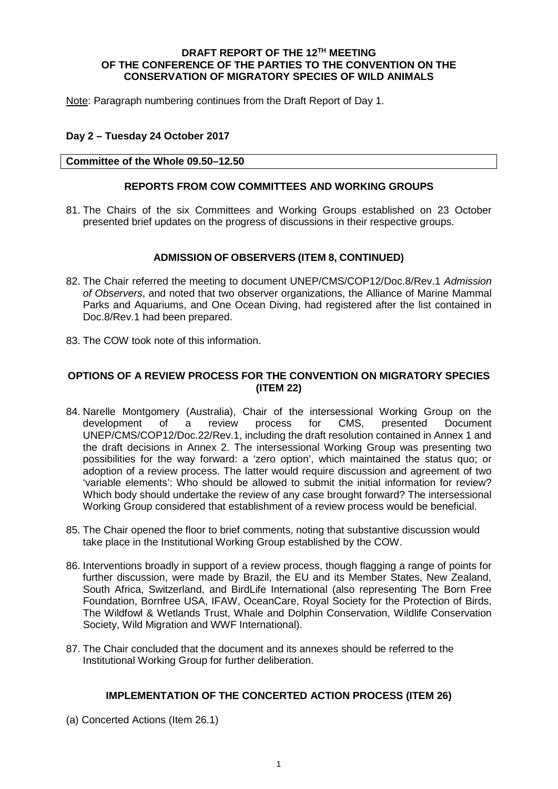### **DRAFT REPORT OF THE 12TH MEETING OF THE CONFERENCE OF THE PARTIES TO THE CONVENTION ON THE CONSERVATION OF MIGRATORY SPECIES OF WILD ANIMALS**

Note: Paragraph numbering continues from the Draft Report of Day 1.

## **Day 2 – Tuesday 24 October 2017**

### **Committee of the Whole 09.50–12.50**

## **REPORTS FROM COW COMMITTEES AND WORKING GROUPS**

81. The Chairs of the six Committees and Working Groups established on 23 October presented brief updates on the progress of discussions in their respective groups.

## **ADMISSION OF OBSERVERS (ITEM 8, CONTINUED)**

- 82. The Chair referred the meeting to document UNEP/CMS/COP12/Doc.8/Rev.1 *Admission of Observers*, and noted that two observer organizations, the Alliance of Marine Mammal Parks and Aquariums, and One Ocean Diving, had registered after the list contained in Doc.8/Rev.1 had been prepared.
- 83. The COW took note of this information.

# **OPTIONS OF A REVIEW PROCESS FOR THE CONVENTION ON MIGRATORY SPECIES (ITEM 22)**

- 84. Narelle Montgomery (Australia), Chair of the intersessional Working Group on the development of a review process for CMS, presented Document UNEP/CMS/COP12/Doc.22/Rev.1, including the draft resolution contained in Annex 1 and the draft decisions in Annex 2. The intersessional Working Group was presenting two possibilities for the way forward: a 'zero option', which maintained the status quo; or adoption of a review process. The latter would require discussion and agreement of two 'variable elements': Who should be allowed to submit the initial information for review? Which body should undertake the review of any case brought forward? The intersessional Working Group considered that establishment of a review process would be beneficial.
- 85. The Chair opened the floor to brief comments, noting that substantive discussion would take place in the Institutional Working Group established by the COW.
- 86. Interventions broadly in support of a review process, though flagging a range of points for further discussion, were made by Brazil, the EU and its Member States, New Zealand, South Africa, Switzerland, and BirdLife International (also representing The Born Free Foundation, Bornfree USA, IFAW, OceanCare, Royal Society for the Protection of Birds, The Wildfowl & Wetlands Trust, Whale and Dolphin Conservation, Wildlife Conservation Society, Wild Migration and WWF International).
- 87. The Chair concluded that the document and its annexes should be referred to the Institutional Working Group for further deliberation.

## **IMPLEMENTATION OF THE CONCERTED ACTION PROCESS (ITEM 26)**

(a) Concerted Actions (Item 26.1)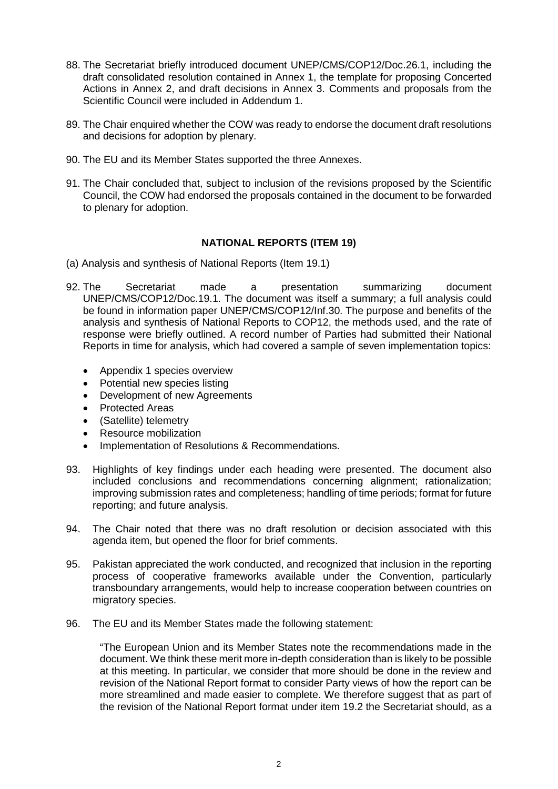- 88. The Secretariat briefly introduced document UNEP/CMS/COP12/Doc.26.1, including the draft consolidated resolution contained in Annex 1, the template for proposing Concerted Actions in Annex 2, and draft decisions in Annex 3. Comments and proposals from the Scientific Council were included in Addendum 1.
- 89. The Chair enquired whether the COW was ready to endorse the document draft resolutions and decisions for adoption by plenary.
- 90. The EU and its Member States supported the three Annexes.
- 91. The Chair concluded that, subject to inclusion of the revisions proposed by the Scientific Council, the COW had endorsed the proposals contained in the document to be forwarded to plenary for adoption.

## **NATIONAL REPORTS (ITEM 19)**

- (a) Analysis and synthesis of National Reports (Item 19.1)
- 92. The Secretariat made a presentation summarizing document UNEP/CMS/COP12/Doc.19.1. The document was itself a summary; a full analysis could be found in information paper UNEP/CMS/COP12/Inf.30. The purpose and benefits of the analysis and synthesis of National Reports to COP12, the methods used, and the rate of response were briefly outlined. A record number of Parties had submitted their National Reports in time for analysis, which had covered a sample of seven implementation topics:
	- Appendix 1 species overview
	- Potential new species listing
	- Development of new Agreements
	- Protected Areas
	- (Satellite) telemetry
	- Resource mobilization
	- Implementation of Resolutions & Recommendations.
- 93. Highlights of key findings under each heading were presented. The document also included conclusions and recommendations concerning alignment; rationalization; improving submission rates and completeness; handling of time periods; format for future reporting; and future analysis.
- 94. The Chair noted that there was no draft resolution or decision associated with this agenda item, but opened the floor for brief comments.
- 95. Pakistan appreciated the work conducted, and recognized that inclusion in the reporting process of cooperative frameworks available under the Convention, particularly transboundary arrangements, would help to increase cooperation between countries on migratory species.
- 96. The EU and its Member States made the following statement:

"The European Union and its Member States note the recommendations made in the document. We think these merit more in-depth consideration than is likely to be possible at this meeting. In particular, we consider that more should be done in the review and revision of the National Report format to consider Party views of how the report can be more streamlined and made easier to complete. We therefore suggest that as part of the revision of the National Report format under item 19.2 the Secretariat should, as a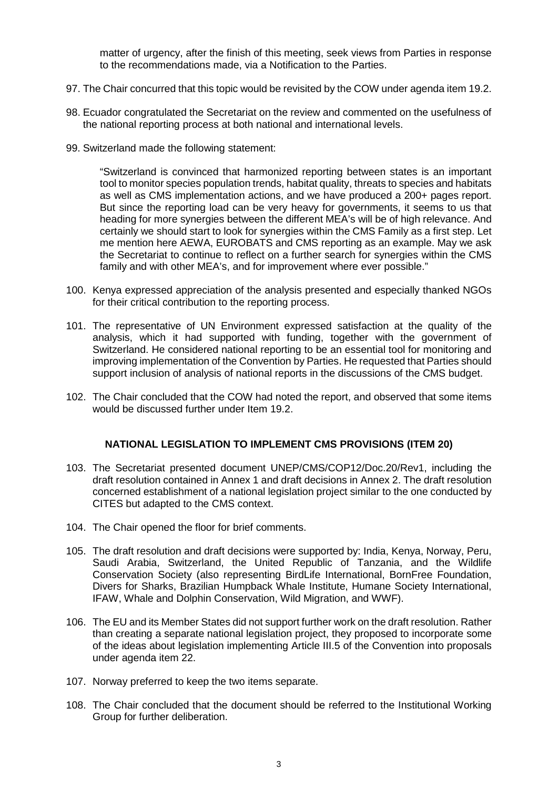matter of urgency, after the finish of this meeting, seek views from Parties in response to the recommendations made, via a Notification to the Parties.

- 97. The Chair concurred that this topic would be revisited by the COW under agenda item 19.2.
- 98. Ecuador congratulated the Secretariat on the review and commented on the usefulness of the national reporting process at both national and international levels.
- 99. Switzerland made the following statement:

"Switzerland is convinced that harmonized reporting between states is an important tool to monitor species population trends, habitat quality, threats to species and habitats as well as CMS implementation actions, and we have produced a 200+ pages report. But since the reporting load can be very heavy for governments, it seems to us that heading for more synergies between the different MEA's will be of high relevance. And certainly we should start to look for synergies within the CMS Family as a first step. Let me mention here AEWA, EUROBATS and CMS reporting as an example. May we ask the Secretariat to continue to reflect on a further search for synergies within the CMS family and with other MEA's, and for improvement where ever possible."

- 100. Kenya expressed appreciation of the analysis presented and especially thanked NGOs for their critical contribution to the reporting process.
- 101. The representative of UN Environment expressed satisfaction at the quality of the analysis, which it had supported with funding, together with the government of Switzerland. He considered national reporting to be an essential tool for monitoring and improving implementation of the Convention by Parties. He requested that Parties should support inclusion of analysis of national reports in the discussions of the CMS budget.
- 102. The Chair concluded that the COW had noted the report, and observed that some items would be discussed further under Item 19.2.

#### **NATIONAL LEGISLATION TO IMPLEMENT CMS PROVISIONS (ITEM 20)**

- 103. The Secretariat presented document UNEP/CMS/COP12/Doc.20/Rev1, including the draft resolution contained in Annex 1 and draft decisions in Annex 2. The draft resolution concerned establishment of a national legislation project similar to the one conducted by CITES but adapted to the CMS context.
- 104. The Chair opened the floor for brief comments.
- 105. The draft resolution and draft decisions were supported by: India, Kenya, Norway, Peru, Saudi Arabia, Switzerland, the United Republic of Tanzania, and the Wildlife Conservation Society (also representing BirdLife International, BornFree Foundation, Divers for Sharks, Brazilian Humpback Whale Institute, Humane Society International, IFAW, Whale and Dolphin Conservation, Wild Migration, and WWF).
- 106. The EU and its Member States did not support further work on the draft resolution. Rather than creating a separate national legislation project, they proposed to incorporate some of the ideas about legislation implementing Article III.5 of the Convention into proposals under agenda item 22.
- 107. Norway preferred to keep the two items separate.
- 108. The Chair concluded that the document should be referred to the Institutional Working Group for further deliberation.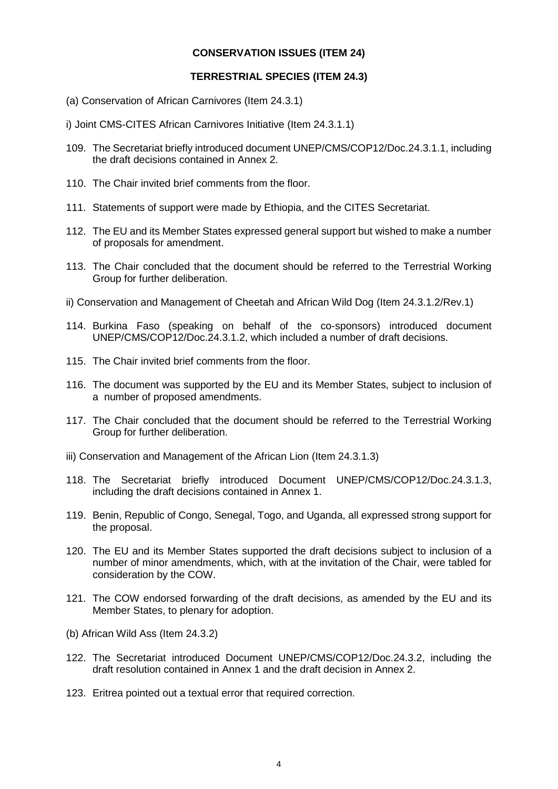# **CONSERVATION ISSUES (ITEM 24)**

# **TERRESTRIAL SPECIES (ITEM 24.3)**

- (a) Conservation of African Carnivores (Item 24.3.1)
- i) Joint CMS-CITES African Carnivores Initiative (Item 24.3.1.1)
- 109. The Secretariat briefly introduced document UNEP/CMS/COP12/Doc.24.3.1.1, including the draft decisions contained in Annex 2.
- 110. The Chair invited brief comments from the floor.
- 111. Statements of support were made by Ethiopia, and the CITES Secretariat.
- 112. The EU and its Member States expressed general support but wished to make a number of proposals for amendment.
- 113. The Chair concluded that the document should be referred to the Terrestrial Working Group for further deliberation.
- ii) Conservation and Management of Cheetah and African Wild Dog (Item 24.3.1.2/Rev.1)
- 114. Burkina Faso (speaking on behalf of the co-sponsors) introduced document UNEP/CMS/COP12/Doc.24.3.1.2, which included a number of draft decisions.
- 115. The Chair invited brief comments from the floor.
- 116. The document was supported by the EU and its Member States, subject to inclusion of a number of proposed amendments.
- 117. The Chair concluded that the document should be referred to the Terrestrial Working Group for further deliberation.
- iii) Conservation and Management of the African Lion (Item 24.3.1.3)
- 118. The Secretariat briefly introduced Document UNEP/CMS/COP12/Doc.24.3.1.3, including the draft decisions contained in Annex 1.
- 119. Benin, Republic of Congo, Senegal, Togo, and Uganda, all expressed strong support for the proposal.
- 120. The EU and its Member States supported the draft decisions subject to inclusion of a number of minor amendments, which, with at the invitation of the Chair, were tabled for consideration by the COW.
- 121. The COW endorsed forwarding of the draft decisions, as amended by the EU and its Member States, to plenary for adoption.
- (b) African Wild Ass (Item 24.3.2)
- 122. The Secretariat introduced Document UNEP/CMS/COP12/Doc.24.3.2, including the draft resolution contained in Annex 1 and the draft decision in Annex 2.
- 123. Eritrea pointed out a textual error that required correction.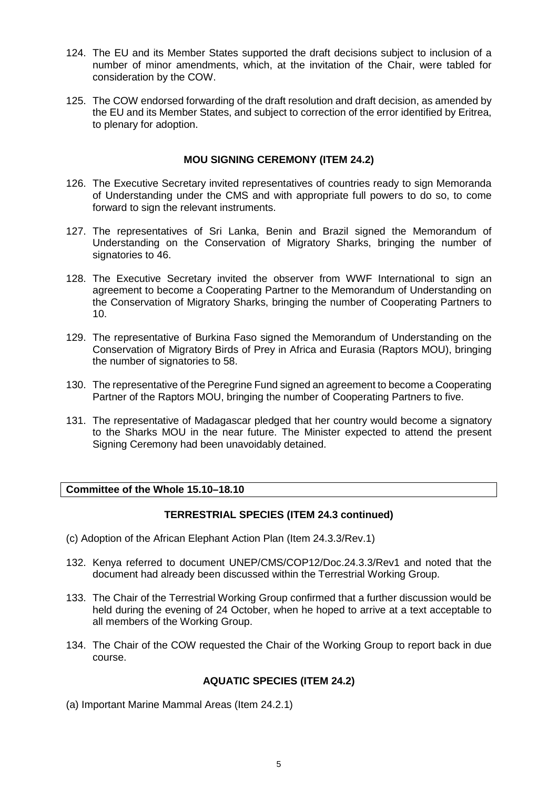- 124. The EU and its Member States supported the draft decisions subject to inclusion of a number of minor amendments, which, at the invitation of the Chair, were tabled for consideration by the COW.
- 125. The COW endorsed forwarding of the draft resolution and draft decision, as amended by the EU and its Member States, and subject to correction of the error identified by Eritrea, to plenary for adoption.

## **MOU SIGNING CEREMONY (ITEM 24.2)**

- 126. The Executive Secretary invited representatives of countries ready to sign Memoranda of Understanding under the CMS and with appropriate full powers to do so, to come forward to sign the relevant instruments.
- 127. The representatives of Sri Lanka, Benin and Brazil signed the Memorandum of Understanding on the Conservation of Migratory Sharks, bringing the number of signatories to 46.
- 128. The Executive Secretary invited the observer from WWF International to sign an agreement to become a Cooperating Partner to the Memorandum of Understanding on the Conservation of Migratory Sharks, bringing the number of Cooperating Partners to 10.
- 129. The representative of Burkina Faso signed the Memorandum of Understanding on the Conservation of Migratory Birds of Prey in Africa and Eurasia (Raptors MOU), bringing the number of signatories to 58.
- 130. The representative of the Peregrine Fund signed an agreement to become a Cooperating Partner of the Raptors MOU, bringing the number of Cooperating Partners to five.
- 131. The representative of Madagascar pledged that her country would become a signatory to the Sharks MOU in the near future. The Minister expected to attend the present Signing Ceremony had been unavoidably detained.

# **Committee of the Whole 15.10–18.10**

## **TERRESTRIAL SPECIES (ITEM 24.3 continued)**

- (c) Adoption of the African Elephant Action Plan (Item 24.3.3/Rev.1)
- 132. Kenya referred to document UNEP/CMS/COP12/Doc.24.3.3/Rev1 and noted that the document had already been discussed within the Terrestrial Working Group.
- 133. The Chair of the Terrestrial Working Group confirmed that a further discussion would be held during the evening of 24 October, when he hoped to arrive at a text acceptable to all members of the Working Group.
- 134. The Chair of the COW requested the Chair of the Working Group to report back in due course.

#### **AQUATIC SPECIES (ITEM 24.2)**

(a) Important Marine Mammal Areas (Item 24.2.1)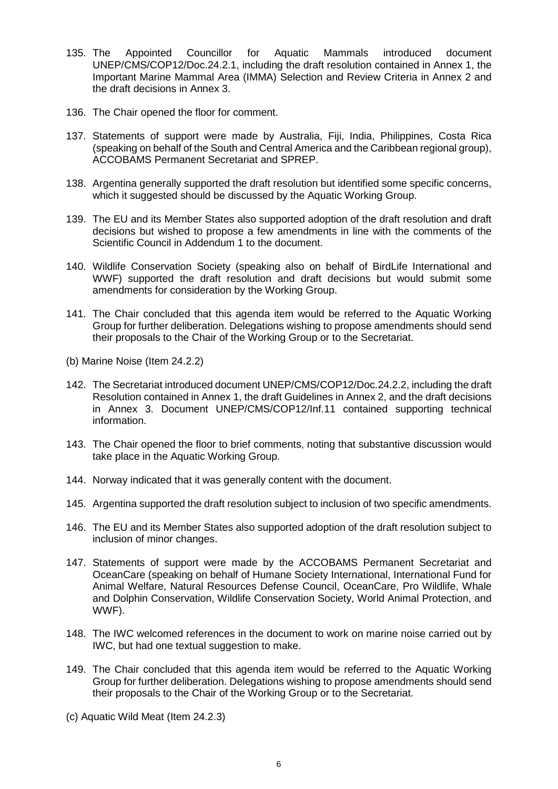- 135. The Appointed Councillor for Aquatic Mammals introduced document UNEP/CMS/COP12/Doc.24.2.1, including the draft resolution contained in Annex 1, the Important Marine Mammal Area (IMMA) Selection and Review Criteria in Annex 2 and the draft decisions in Annex 3.
- 136. The Chair opened the floor for comment.
- 137. Statements of support were made by Australia, Fiji, India, Philippines, Costa Rica (speaking on behalf of the South and Central America and the Caribbean regional group), ACCOBAMS Permanent Secretariat and SPREP.
- 138. Argentina generally supported the draft resolution but identified some specific concerns, which it suggested should be discussed by the Aquatic Working Group.
- 139. The EU and its Member States also supported adoption of the draft resolution and draft decisions but wished to propose a few amendments in line with the comments of the Scientific Council in Addendum 1 to the document.
- 140. Wildlife Conservation Society (speaking also on behalf of BirdLife International and WWF) supported the draft resolution and draft decisions but would submit some amendments for consideration by the Working Group.
- 141. The Chair concluded that this agenda item would be referred to the Aquatic Working Group for further deliberation. Delegations wishing to propose amendments should send their proposals to the Chair of the Working Group or to the Secretariat.
- (b) Marine Noise (Item 24.2.2)
- 142. The Secretariat introduced document UNEP/CMS/COP12/Doc.24.2.2, including the draft Resolution contained in Annex 1, the draft Guidelines in Annex 2, and the draft decisions in Annex 3. Document UNEP/CMS/COP12/Inf.11 contained supporting technical information.
- 143. The Chair opened the floor to brief comments, noting that substantive discussion would take place in the Aquatic Working Group.
- 144. Norway indicated that it was generally content with the document.
- 145. Argentina supported the draft resolution subject to inclusion of two specific amendments.
- 146. The EU and its Member States also supported adoption of the draft resolution subject to inclusion of minor changes.
- 147. Statements of support were made by the ACCOBAMS Permanent Secretariat and OceanCare (speaking on behalf of Humane Society International, International Fund for Animal Welfare, Natural Resources Defense Council, OceanCare, Pro Wildlife, Whale and Dolphin Conservation, Wildlife Conservation Society, World Animal Protection, and WWF).
- 148. The IWC welcomed references in the document to work on marine noise carried out by IWC, but had one textual suggestion to make.
- 149. The Chair concluded that this agenda item would be referred to the Aquatic Working Group for further deliberation. Delegations wishing to propose amendments should send their proposals to the Chair of the Working Group or to the Secretariat.
- (c) Aquatic Wild Meat (Item 24.2.3)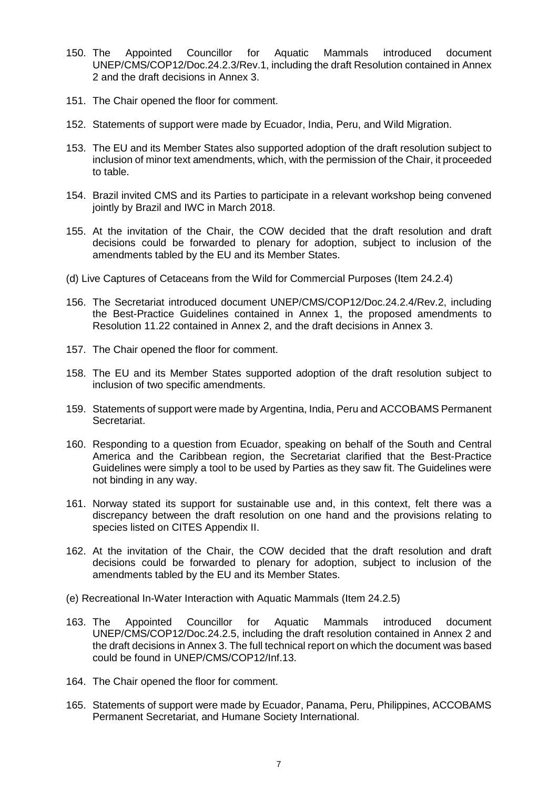- 150. The Appointed Councillor for Aquatic Mammals introduced document UNEP/CMS/COP12/Doc.24.2.3/Rev.1, including the draft Resolution contained in Annex 2 and the draft decisions in Annex 3.
- 151. The Chair opened the floor for comment.
- 152. Statements of support were made by Ecuador, India, Peru, and Wild Migration.
- 153. The EU and its Member States also supported adoption of the draft resolution subject to inclusion of minor text amendments, which, with the permission of the Chair, it proceeded to table.
- 154. Brazil invited CMS and its Parties to participate in a relevant workshop being convened jointly by Brazil and IWC in March 2018.
- 155. At the invitation of the Chair, the COW decided that the draft resolution and draft decisions could be forwarded to plenary for adoption, subject to inclusion of the amendments tabled by the EU and its Member States.
- (d) Live Captures of Cetaceans from the Wild for Commercial Purposes (Item 24.2.4)
- 156. The Secretariat introduced document UNEP/CMS/COP12/Doc.24.2.4/Rev.2, including the Best-Practice Guidelines contained in Annex 1, the proposed amendments to Resolution 11.22 contained in Annex 2, and the draft decisions in Annex 3.
- 157. The Chair opened the floor for comment.
- 158. The EU and its Member States supported adoption of the draft resolution subject to inclusion of two specific amendments.
- 159. Statements of support were made by Argentina, India, Peru and ACCOBAMS Permanent Secretariat.
- 160. Responding to a question from Ecuador, speaking on behalf of the South and Central America and the Caribbean region, the Secretariat clarified that the Best-Practice Guidelines were simply a tool to be used by Parties as they saw fit. The Guidelines were not binding in any way.
- 161. Norway stated its support for sustainable use and, in this context, felt there was a discrepancy between the draft resolution on one hand and the provisions relating to species listed on CITES Appendix II.
- 162. At the invitation of the Chair, the COW decided that the draft resolution and draft decisions could be forwarded to plenary for adoption, subject to inclusion of the amendments tabled by the EU and its Member States.
- (e) Recreational In-Water Interaction with Aquatic Mammals (Item 24.2.5)
- 163. The Appointed Councillor for Aquatic Mammals introduced document UNEP/CMS/COP12/Doc.24.2.5, including the draft resolution contained in Annex 2 and the draft decisions in Annex 3. The full technical report on which the document was based could be found in UNEP/CMS/COP12/Inf.13.
- 164. The Chair opened the floor for comment.
- 165. Statements of support were made by Ecuador, Panama, Peru, Philippines, ACCOBAMS Permanent Secretariat, and Humane Society International.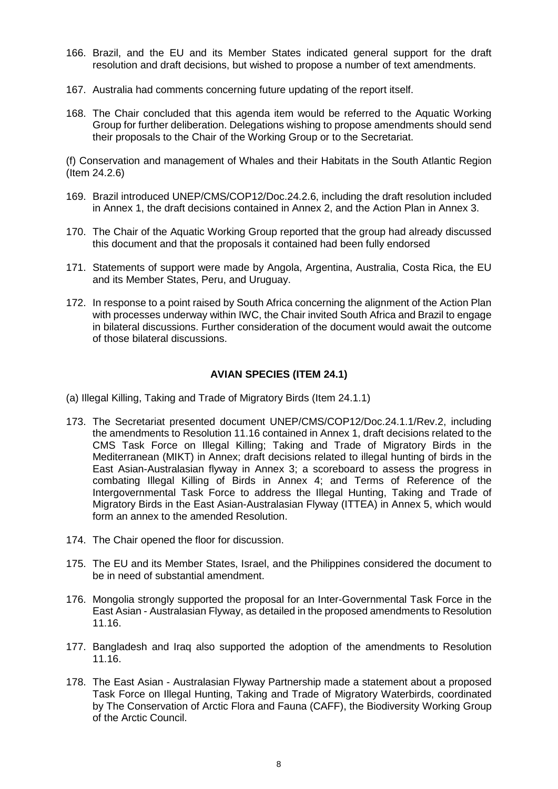- 166. Brazil, and the EU and its Member States indicated general support for the draft resolution and draft decisions, but wished to propose a number of text amendments.
- 167. Australia had comments concerning future updating of the report itself.
- 168. The Chair concluded that this agenda item would be referred to the Aquatic Working Group for further deliberation. Delegations wishing to propose amendments should send their proposals to the Chair of the Working Group or to the Secretariat.

(f) Conservation and management of Whales and their Habitats in the South Atlantic Region (Item 24.2.6)

- 169. Brazil introduced UNEP/CMS/COP12/Doc.24.2.6, including the draft resolution included in Annex 1, the draft decisions contained in Annex 2, and the Action Plan in Annex 3.
- 170. The Chair of the Aquatic Working Group reported that the group had already discussed this document and that the proposals it contained had been fully endorsed
- 171. Statements of support were made by Angola, Argentina, Australia, Costa Rica, the EU and its Member States, Peru, and Uruguay.
- 172. In response to a point raised by South Africa concerning the alignment of the Action Plan with processes underway within IWC, the Chair invited South Africa and Brazil to engage in bilateral discussions. Further consideration of the document would await the outcome of those bilateral discussions.

## **AVIAN SPECIES (ITEM 24.1)**

(a) Illegal Killing, Taking and Trade of Migratory Birds (Item 24.1.1)

- 173. The Secretariat presented document UNEP/CMS/COP12/Doc.24.1.1/Rev.2, including the amendments to Resolution 11.16 contained in Annex 1, draft decisions related to the CMS Task Force on Illegal Killing; Taking and Trade of Migratory Birds in the Mediterranean (MIKT) in Annex; draft decisions related to illegal hunting of birds in the East Asian-Australasian flyway in Annex 3; a scoreboard to assess the progress in combating Illegal Killing of Birds in Annex 4; and Terms of Reference of the Intergovernmental Task Force to address the Illegal Hunting, Taking and Trade of Migratory Birds in the East Asian-Australasian Flyway (ITTEA) in Annex 5, which would form an annex to the amended Resolution.
- 174. The Chair opened the floor for discussion.
- 175. The EU and its Member States, Israel, and the Philippines considered the document to be in need of substantial amendment.
- 176. Mongolia strongly supported the proposal for an Inter-Governmental Task Force in the East Asian - Australasian Flyway, as detailed in the proposed amendments to Resolution 11.16.
- 177. Bangladesh and Iraq also supported the adoption of the amendments to Resolution 11.16.
- 178. The East Asian Australasian Flyway Partnership made a statement about a proposed Task Force on Illegal Hunting, Taking and Trade of Migratory Waterbirds, coordinated by The Conservation of Arctic Flora and Fauna (CAFF), the Biodiversity Working Group of the Arctic Council.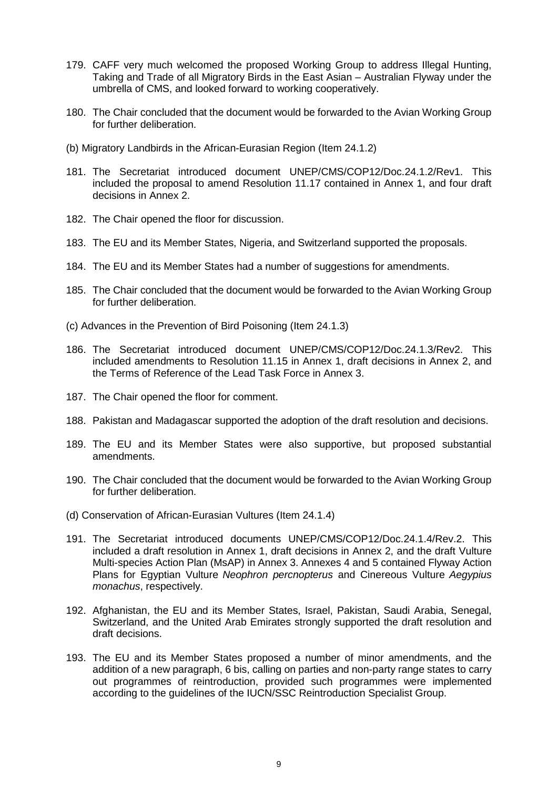- 179. CAFF very much welcomed the proposed Working Group to address Illegal Hunting, Taking and Trade of all Migratory Birds in the East Asian – Australian Flyway under the umbrella of CMS, and looked forward to working cooperatively.
- 180. The Chair concluded that the document would be forwarded to the Avian Working Group for further deliberation.
- (b) Migratory Landbirds in the African-Eurasian Region (Item 24.1.2)
- 181. The Secretariat introduced document UNEP/CMS/COP12/Doc.24.1.2/Rev1. This included the proposal to amend Resolution 11.17 contained in Annex 1, and four draft decisions in Annex 2.
- 182. The Chair opened the floor for discussion.
- 183. The EU and its Member States, Nigeria, and Switzerland supported the proposals.
- 184. The EU and its Member States had a number of suggestions for amendments.
- 185. The Chair concluded that the document would be forwarded to the Avian Working Group for further deliberation.
- (c) Advances in the Prevention of Bird Poisoning (Item 24.1.3)
- 186. The Secretariat introduced document UNEP/CMS/COP12/Doc.24.1.3/Rev2. This included amendments to Resolution 11.15 in Annex 1, draft decisions in Annex 2, and the Terms of Reference of the Lead Task Force in Annex 3.
- 187. The Chair opened the floor for comment.
- 188. Pakistan and Madagascar supported the adoption of the draft resolution and decisions.
- 189. The EU and its Member States were also supportive, but proposed substantial amendments.
- 190. The Chair concluded that the document would be forwarded to the Avian Working Group for further deliberation.
- (d) Conservation of African-Eurasian Vultures (Item 24.1.4)
- 191. The Secretariat introduced documents UNEP/CMS/COP12/Doc.24.1.4/Rev.2. This included a draft resolution in Annex 1, draft decisions in Annex 2, and the draft Vulture Multi-species Action Plan (MsAP) in Annex 3. Annexes 4 and 5 contained Flyway Action Plans for Egyptian Vulture *Neophron percnopterus* and Cinereous Vulture *Aegypius monachus*, respectively.
- 192. Afghanistan, the EU and its Member States, Israel, Pakistan, Saudi Arabia, Senegal, Switzerland, and the United Arab Emirates strongly supported the draft resolution and draft decisions.
- 193. The EU and its Member States proposed a number of minor amendments, and the addition of a new paragraph, 6 bis, calling on parties and non-party range states to carry out programmes of reintroduction, provided such programmes were implemented according to the guidelines of the IUCN/SSC Reintroduction Specialist Group.